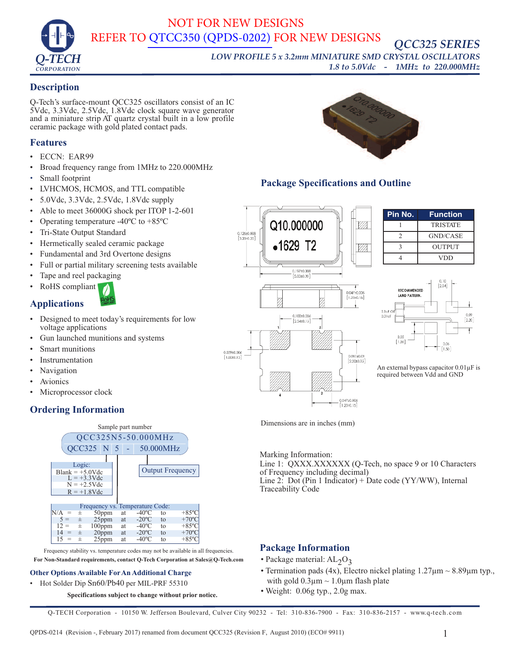

# NOT FOR NEW DESIGNS REFER TO [QTCC350 \(QPDS-0202\)](https://q-tech.com/wp-content/uploads/QPDS-0202-QTCC350.pdf) FOR NEW DESIGNS

*QCC325 SERIES*

*LOW PROFILE 5 x 3.2mm MINIATURE SMD CRYSTAL OSCILLATORS 1.8 to 5.0Vdc - 1MHz to 220.000MHz*

#### **Description**

Q-Tech's surface-mount QCC325 oscillators consist of an IC 5Vdc, 3.3Vdc, 2.5Vdc, 1.8Vdc clock square wave generator and a miniature strip AT quartz crystal built in a low profile ceramic package with gold plated contact pads.

#### **Features**

- ECCN: EAR99
- Broad frequency range from 1MHz to 220.000MHz
- Small footprint
- LVHCMOS, HCMOS, and TTL compatible
- 5.0Vdc, 3.3Vdc, 2.5Vdc, 1.8Vdc supply
- Able to meet 36000G shock per ITOP 1-2-601
- Operating temperature -40<sup>o</sup>C to +85<sup>o</sup>C
- Tri-State Output Standard
- Hermetically sealed ceramic package
- Fundamental and 3rd Overtone designs
- Full or partial military screening tests available
- Tape and reel packaging
- RoHS compliant

## **Applications**

- Designed to meet today's requirements for low voltage applications
- Gun launched munitions and systems
- Smart munitions
- **Instrumentation**
- Navigation
- **Avionics**
- Microprocessor clock

# **Ordering Information**



Frequency stability vs. temperature codes may not be available in all frequencies. **For Non-Standard requirements, contact Q-Tech Corporation at Sales@Q-Tech.com**

#### **Other Options Available For An Additional Charge**

• Hot Solder Dip Sn60/Pb40 per MIL-PRF 55310

**Specifications subject to change without prior notice.**



## **Package Specifications and Outline**



**Pin No. Function** 1 TRISTATE 2 GND/CASE 3 OUTPUT 4 VDD



An external bypass capacitor  $0.01 \mu$ F is required between Vdd and GND

Dimensions are in inches (mm)

Marking Information: Line 1: QXXX.XXXXXXX (Q-Tech, no space 9 or 10 Characters of Frequency including decimal) Line 2: Dot (Pin 1 Indicator) + Date code (YY/WW), Internal Traceability Code

#### **Package Information**

- Package material:  $AL_2O_3$
- Termination pads (4x), Electro nickel plating  $1.27 \mu m \sim 8.89 \mu m$  typ., with gold  $0.3\mu$ m  $\sim 1.0\mu$ m flash plate
- Weight: 0.06g typ., 2.0g max.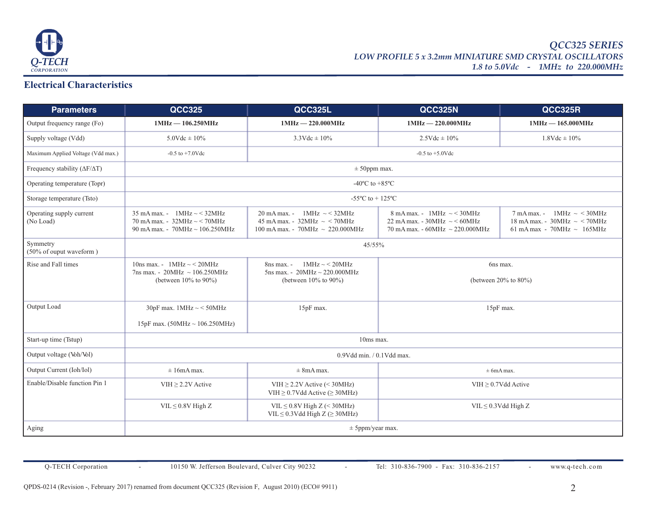

#### **Electrical Characteristics**

| <b>Parameters</b>                           | <b>QCC325</b>                                                                                                                       | QCC325L                                                                                                          | <b>QCC325N</b>                                                                                                       | QCC325R                                                                                                |  |
|---------------------------------------------|-------------------------------------------------------------------------------------------------------------------------------------|------------------------------------------------------------------------------------------------------------------|----------------------------------------------------------------------------------------------------------------------|--------------------------------------------------------------------------------------------------------|--|
| Output frequency range (Fo)                 | $1MHz - 106.250MHz$                                                                                                                 | $1MHz - 220.000MHz$                                                                                              | $1MHz - 220.000MHz$                                                                                                  | $1MHz - 165.000MHz$                                                                                    |  |
| Supply voltage (Vdd)                        | $5.0$ Vdc $\pm 10\%$                                                                                                                | $3.3 \text{Vdc} \pm 10\%$                                                                                        | $2.5 \text{Vdc} \pm 10\%$                                                                                            | $1.8$ Vdc $\pm 10\%$                                                                                   |  |
| Maximum Applied Voltage (Vdd max.)          | $-0.5$ to $+7.0$ Vdc                                                                                                                | $-0.5$ to $+5.0$ Vdc                                                                                             |                                                                                                                      |                                                                                                        |  |
| Frequency stability ( $\Delta F/\Delta T$ ) | $\pm$ 50ppm max.                                                                                                                    |                                                                                                                  |                                                                                                                      |                                                                                                        |  |
| Operating temperature (Topr)                | -40 $\rm{^{\circ}C}$ to +85 $\rm{^{\circ}C}$                                                                                        |                                                                                                                  |                                                                                                                      |                                                                                                        |  |
| Storage temperature (Tsto)                  | -55 $^{\circ}$ C to + 125 $^{\circ}$ C                                                                                              |                                                                                                                  |                                                                                                                      |                                                                                                        |  |
| Operating supply current<br>(No Load)       | $35 \text{ mA max.} - 1 \text{ MHz} \sim 32 \text{ MHz}$<br>70 mA max. - $32MHz \sim 70MHz$<br>90 mA max. - 70MHz $\sim$ 106.250MHz | $1MHz \sim 32MHz$<br>20 mA max. -<br>45 mA max. - 32MHz $\sim$ < 70MHz<br>100 mA max. - 70MHz $\sim 220.000$ MHz | $8 \text{ mA max.}$ - 1MHz $\sim$ < 30MHz<br>22 mA max. - $30MHz \sim 60MHz$<br>70 mA max. - 60MHz $\sim$ 220.000MHz | $1MHz \sim 30MHz$<br>7 mA max. -<br>18 mA max. - $30MHz \sim 70MHz$<br>61 mA max - 70MHz $\sim$ 165MHz |  |
| Symmetry<br>(50% of ouput waveform)         | 45/55%                                                                                                                              |                                                                                                                  |                                                                                                                      |                                                                                                        |  |
| Rise and Fall times                         | 10ns max. - $1MHz \sim 20MHz$<br>7ns max. - 20MHz $\sim$ 106.250MHz<br>(between $10\%$ to $90\%$ )                                  | $1MHz \sim 20MHz$<br>8ns max. -<br>5ns max. - $20MHz \sim 220.000MHz$<br>(between $10\%$ to $90\%$ )             | 6ns max.<br>(between $20\%$ to $80\%$ )                                                                              |                                                                                                        |  |
| Output Load                                 | 30pF max. $1MHz \sim 50MHz$<br>15pF max. $(50MHz \sim 106.250MHz)$                                                                  | 15pF max.                                                                                                        | 15pF max.                                                                                                            |                                                                                                        |  |
| Start-up time (Tstup)                       | 10ms max.                                                                                                                           |                                                                                                                  |                                                                                                                      |                                                                                                        |  |
| Output voltage (Voh/Vol)                    | $0.9V$ dd min. $/ 0.1V$ dd max.                                                                                                     |                                                                                                                  |                                                                                                                      |                                                                                                        |  |
| Output Current (Ioh/Iol)                    | $\pm 16$ mA max.                                                                                                                    | $\pm 8$ mA max.                                                                                                  | $\pm$ 6mA max.                                                                                                       |                                                                                                        |  |
| Enable/Disable function Pin 1               | VIH $\geq$ 2.2V Active                                                                                                              | VIH $\geq$ 2.2V Active (< 30MHz)<br>VIH $\geq$ 0.7Vdd Active ( $\geq$ 30MHz)                                     | VIH $\geq$ 0.7Vdd Active                                                                                             |                                                                                                        |  |
|                                             | $VIL \leq 0.8V$ High Z                                                                                                              | VIL $\leq$ 0.8V High Z (< 30MHz)<br>VIL $\leq$ 0.3Vdd High Z ( $\geq$ 30MHz)                                     | $VIL \leq 0.3Vdd High Z$                                                                                             |                                                                                                        |  |
| Aging                                       | $\pm$ 5ppm/year max.                                                                                                                |                                                                                                                  |                                                                                                                      |                                                                                                        |  |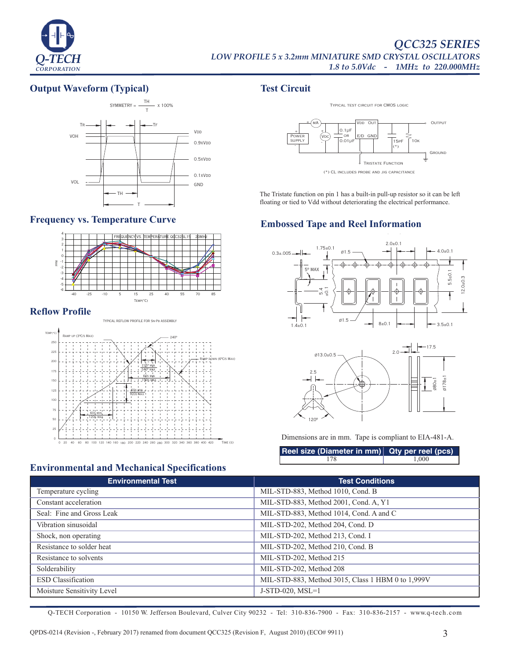

#### **Output Waveform (Typical)**



#### **Frequency vs. Temperature Curve**



#### **Reflow Profile**



# **Environmental and Mechanical Specifications**

# **Test Circuit**



The Tristate function on pin 1 has a built-in pull-up resistor so it can be left floating or tied to Vdd without deteriorating the electrical performance.

# **Embossed Tape and Reel Information**





Dimensions are in mm. Tape is compliant to EIA-481-A.

| Reel size (Diameter in mm) Qty per reel (pcs) |       |  |
|-----------------------------------------------|-------|--|
|                                               | 1.000 |  |

| <b>Environmental Test</b>  | <b>Test Conditions</b>                            |  |  |
|----------------------------|---------------------------------------------------|--|--|
| Temperature cycling        | MIL-STD-883, Method 1010, Cond. B                 |  |  |
| Constant acceleration      | MIL-STD-883, Method 2001, Cond. A, Y1             |  |  |
| Seal: Fine and Gross Leak  | MIL-STD-883, Method 1014, Cond. A and C           |  |  |
| Vibration sinusoidal       | MIL-STD-202, Method 204, Cond. D                  |  |  |
| Shock, non operating       | MIL-STD-202, Method 213, Cond. I                  |  |  |
| Resistance to solder heat  | MIL-STD-202, Method 210, Cond. B                  |  |  |
| Resistance to solvents     | MIL-STD-202, Method 215                           |  |  |
| Solderability              | MIL-STD-202, Method 208                           |  |  |
| <b>ESD</b> Classification  | MIL-STD-883, Method 3015, Class 1 HBM 0 to 1,999V |  |  |
| Moisture Sensitivity Level | $J-STD-020$ , $MSL=1$                             |  |  |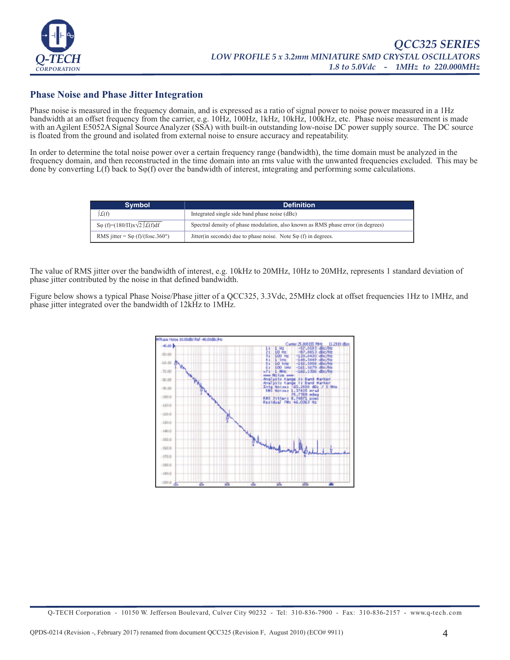

#### **Phase Noise and Phase Jitter Integration**

Phase noise is measured in the frequency domain, and is expressed as a ratio of signal power to noise power measured in a 1Hz bandwidth at an offset frequency from the carrier, e.g. 10Hz, 100Hz, 1kHz, 10kHz, 100kHz, etc. Phase noise measurement is made with an Agilent E5052A Signal Source Analyzer (SSA) with built-in outstanding low-noise DC power supply source. The DC source is floated from the ground and isolated from external noise to ensure accuracy and repeatability.

In order to determine the total noise power over a certain frequency range (bandwidth), the time domain must be analyzed in the frequency domain, and then reconstructed in the time domain into an rms value with the unwanted frequencies excluded. This may be done by converting  $L(f)$  back to  $S\varphi(f)$  over the bandwidth of interest, integrating and performing some calculations.

| <b>Symbol</b>                                   | <b>Definition</b>                                                                |
|-------------------------------------------------|----------------------------------------------------------------------------------|
| L(f)                                            | Integrated single side band phase noise (dBc)                                    |
| So $(f)=(180/\Pi)x\sqrt{2}\int\mathcal{L}(f)df$ | Spectral density of phase modulation, also known as RMS phase error (in degrees) |
| RMS jitter = $S\varphi$ (f)/(fosc.360°)         | Jitter(in seconds) due to phase noise. Note $S\varphi$ (f) in degrees.           |

The value of RMS jitter over the bandwidth of interest, e.g. 10kHz to 20MHz, 10Hz to 20MHz, represents 1 standard deviation of phase jitter contributed by the noise in that defined bandwidth.

Figure below shows a typical Phase Noise/Phase jitter of a QCC325, 3.3Vdc, 25MHz clock at offset frequencies 1Hz to 1MHz, and phase jitter integrated over the bandwidth of 12kHz to 1MHz.